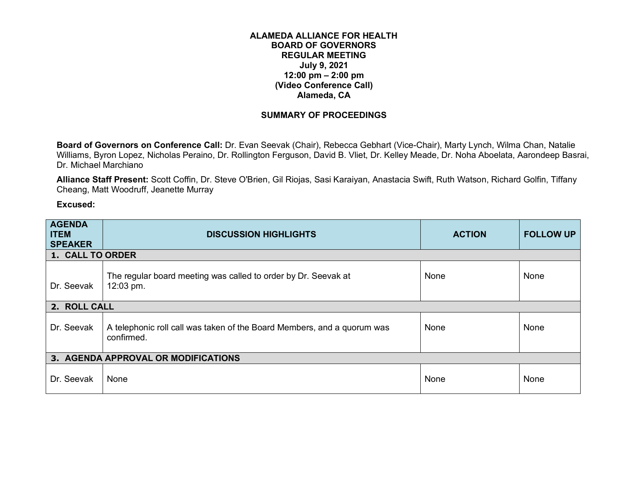## **ALAMEDA ALLIANCE FOR HEALTH BOARD OF GOVERNORS REGULAR MEETING July 9, 2021 12:00 pm – 2:00 pm (Video Conference Call) Alameda, CA**

## **SUMMARY OF PROCEEDINGS**

**Board of Governors on Conference Call:** Dr. Evan Seevak (Chair), Rebecca Gebhart (Vice-Chair), Marty Lynch, Wilma Chan, Natalie Williams, Byron Lopez, Nicholas Peraino, Dr. Rollington Ferguson, David B. Vliet, Dr. Kelley Meade, Dr. Noha Aboelata, Aarondeep Basrai, Dr. Michael Marchiano

**Alliance Staff Present:** Scott Coffin, Dr. Steve O'Brien, Gil Riojas, Sasi Karaiyan, Anastacia Swift, Ruth Watson, Richard Golfin, Tiffany Cheang, Matt Woodruff, Jeanette Murray

**Excused:**

| <b>AGENDA</b><br><b>ITEM</b><br><b>SPEAKER</b> | <b>DISCUSSION HIGHLIGHTS</b>                                                          | <b>ACTION</b> | <b>FOLLOW UP</b> |
|------------------------------------------------|---------------------------------------------------------------------------------------|---------------|------------------|
| 1. CALL TO ORDER                               |                                                                                       |               |                  |
| Dr. Seevak                                     | The regular board meeting was called to order by Dr. Seevak at<br>12:03 pm.           | None          | <b>None</b>      |
| 2. ROLL CALL                                   |                                                                                       |               |                  |
| Dr. Seevak                                     | A telephonic roll call was taken of the Board Members, and a quorum was<br>confirmed. | None          | <b>None</b>      |
|                                                | 3. AGENDA APPROVAL OR MODIFICATIONS                                                   |               |                  |
| Dr. Seevak                                     | None                                                                                  | None          | None             |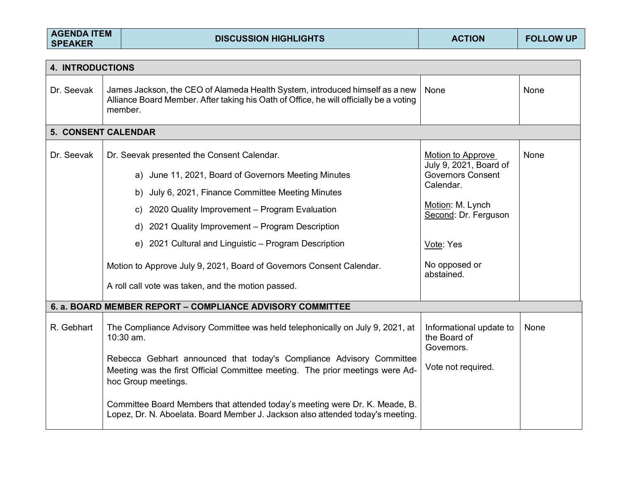| <b>AGENDA ITEM</b><br><b>SPEAKER</b> | <b>DISCUSSION HIGHLIGHTS</b>                                                                                                                                                      | <b>ACTION</b>                                         | <b>FOLLOW UP</b> |  |  |  |  |
|--------------------------------------|-----------------------------------------------------------------------------------------------------------------------------------------------------------------------------------|-------------------------------------------------------|------------------|--|--|--|--|
|                                      | <b>4. INTRODUCTIONS</b>                                                                                                                                                           |                                                       |                  |  |  |  |  |
|                                      |                                                                                                                                                                                   |                                                       |                  |  |  |  |  |
| Dr. Seevak                           | James Jackson, the CEO of Alameda Health System, introduced himself as a new<br>Alliance Board Member. After taking his Oath of Office, he will officially be a voting<br>member. | None                                                  | None             |  |  |  |  |
|                                      | 5. CONSENT CALENDAR                                                                                                                                                               |                                                       |                  |  |  |  |  |
| Dr. Seevak                           | Dr. Seevak presented the Consent Calendar.                                                                                                                                        | Motion to Approve<br>July 9, 2021, Board of           | None             |  |  |  |  |
|                                      | a) June 11, 2021, Board of Governors Meeting Minutes                                                                                                                              | <b>Governors Consent</b>                              |                  |  |  |  |  |
|                                      | b) July 6, 2021, Finance Committee Meeting Minutes                                                                                                                                | Calendar.                                             |                  |  |  |  |  |
|                                      | c) 2020 Quality Improvement - Program Evaluation                                                                                                                                  | Motion: M. Lynch<br>Second: Dr. Ferguson              |                  |  |  |  |  |
|                                      | d) 2021 Quality Improvement - Program Description                                                                                                                                 |                                                       |                  |  |  |  |  |
|                                      | e) 2021 Cultural and Linguistic - Program Description                                                                                                                             | Vote: Yes                                             |                  |  |  |  |  |
|                                      | Motion to Approve July 9, 2021, Board of Governors Consent Calendar.                                                                                                              | No opposed or<br>abstained.                           |                  |  |  |  |  |
|                                      | A roll call vote was taken, and the motion passed.                                                                                                                                |                                                       |                  |  |  |  |  |
|                                      | 6. a. BOARD MEMBER REPORT - COMPLIANCE ADVISORY COMMITTEE                                                                                                                         |                                                       |                  |  |  |  |  |
| R. Gebhart                           | The Compliance Advisory Committee was held telephonically on July 9, 2021, at<br>10:30 am.                                                                                        | Informational update to<br>the Board of<br>Governors. | None             |  |  |  |  |
|                                      | Rebecca Gebhart announced that today's Compliance Advisory Committee<br>Meeting was the first Official Committee meeting. The prior meetings were Ad-<br>hoc Group meetings.      | Vote not required.                                    |                  |  |  |  |  |
|                                      | Committee Board Members that attended today's meeting were Dr. K. Meade, B.<br>Lopez, Dr. N. Aboelata. Board Member J. Jackson also attended today's meeting.                     |                                                       |                  |  |  |  |  |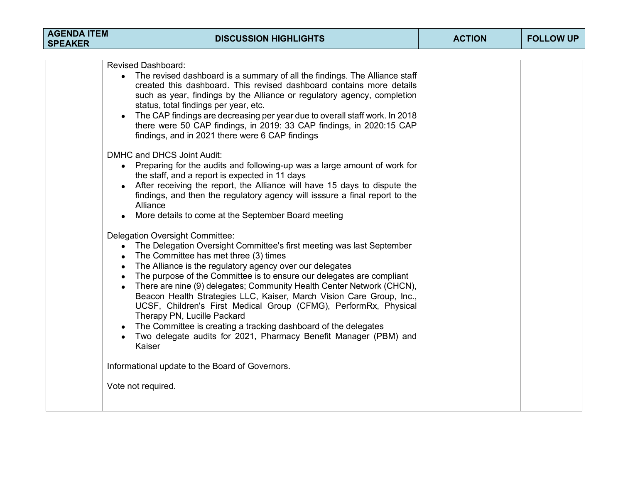| <b>AGENDA ITEM</b><br><b>SPEAKER</b> | <b>DISCUSSION HIGHLIGHTS</b>                                                                                                                                                                                                                                                                                                                                                                                                                                                                                                                                                                                                                                                                                                                                                                                                                                                                                                                                                                                                                                                                                                                                                                                                                                                                                                                                                                                                                                                                                                                                                                                                                                                                                                                                            | <b>ACTION</b> | <b>FOLLOW UP</b> |
|--------------------------------------|-------------------------------------------------------------------------------------------------------------------------------------------------------------------------------------------------------------------------------------------------------------------------------------------------------------------------------------------------------------------------------------------------------------------------------------------------------------------------------------------------------------------------------------------------------------------------------------------------------------------------------------------------------------------------------------------------------------------------------------------------------------------------------------------------------------------------------------------------------------------------------------------------------------------------------------------------------------------------------------------------------------------------------------------------------------------------------------------------------------------------------------------------------------------------------------------------------------------------------------------------------------------------------------------------------------------------------------------------------------------------------------------------------------------------------------------------------------------------------------------------------------------------------------------------------------------------------------------------------------------------------------------------------------------------------------------------------------------------------------------------------------------------|---------------|------------------|
|                                      | <b>Revised Dashboard:</b><br>The revised dashboard is a summary of all the findings. The Alliance staff<br>created this dashboard. This revised dashboard contains more details<br>such as year, findings by the Alliance or regulatory agency, completion<br>status, total findings per year, etc.<br>The CAP findings are decreasing per year due to overall staff work. In 2018<br>there were 50 CAP findings, in 2019: 33 CAP findings, in 2020:15 CAP<br>findings, and in 2021 there were 6 CAP findings<br>DMHC and DHCS Joint Audit:<br>• Preparing for the audits and following-up was a large amount of work for<br>the staff, and a report is expected in 11 days<br>After receiving the report, the Alliance will have 15 days to dispute the<br>$\bullet$<br>findings, and then the regulatory agency will isssure a final report to the<br>Alliance<br>More details to come at the September Board meeting<br><b>Delegation Oversight Committee:</b><br>The Delegation Oversight Committee's first meeting was last September<br>$\bullet$<br>The Committee has met three (3) times<br>The Alliance is the regulatory agency over our delegates<br>$\bullet$<br>The purpose of the Committee is to ensure our delegates are compliant<br>$\bullet$<br>There are nine (9) delegates; Community Health Center Network (CHCN),<br>$\bullet$<br>Beacon Health Strategies LLC, Kaiser, March Vision Care Group, Inc.,<br>UCSF, Children's First Medical Group (CFMG), PerformRx, Physical<br>Therapy PN, Lucille Packard<br>The Committee is creating a tracking dashboard of the delegates<br>$\bullet$<br>Two delegate audits for 2021, Pharmacy Benefit Manager (PBM) and<br>Kaiser<br>Informational update to the Board of Governors.<br>Vote not required. |               |                  |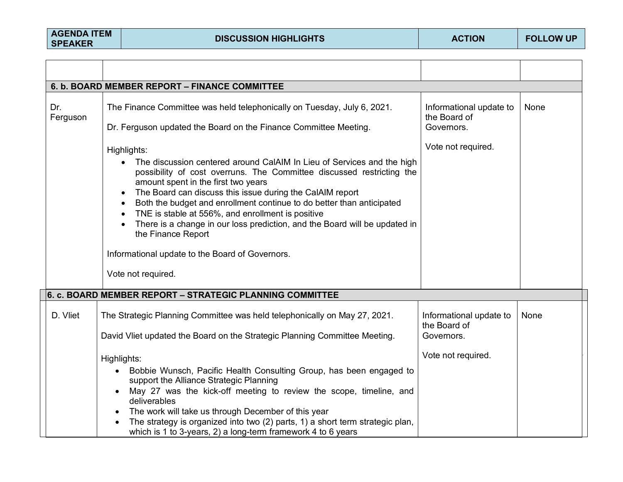|                 | 6. b. BOARD MEMBER REPORT - FINANCE COMMITTEE                                                                                                                                                                                                                                                                                                                                                                                                                                                                                                                                                                                                                                 |                                                                             |      |
|-----------------|-------------------------------------------------------------------------------------------------------------------------------------------------------------------------------------------------------------------------------------------------------------------------------------------------------------------------------------------------------------------------------------------------------------------------------------------------------------------------------------------------------------------------------------------------------------------------------------------------------------------------------------------------------------------------------|-----------------------------------------------------------------------------|------|
| Dr.<br>Ferguson | The Finance Committee was held telephonically on Tuesday, July 6, 2021.<br>Dr. Ferguson updated the Board on the Finance Committee Meeting.<br>Highlights:<br>The discussion centered around CalAIM In Lieu of Services and the high<br>$\bullet$<br>possibility of cost overruns. The Committee discussed restricting the<br>amount spent in the first two years<br>The Board can discuss this issue during the CalAIM report<br>$\bullet$<br>Both the budget and enrollment continue to do better than anticipated<br>TNE is stable at 556%, and enrollment is positive<br>There is a change in our loss prediction, and the Board will be updated in<br>the Finance Report | Informational update to<br>the Board of<br>Governors.<br>Vote not required. | None |
|                 | Informational update to the Board of Governors.                                                                                                                                                                                                                                                                                                                                                                                                                                                                                                                                                                                                                               |                                                                             |      |
|                 | Vote not required.                                                                                                                                                                                                                                                                                                                                                                                                                                                                                                                                                                                                                                                            |                                                                             |      |
|                 | 6. c. BOARD MEMBER REPORT - STRATEGIC PLANNING COMMITTEE                                                                                                                                                                                                                                                                                                                                                                                                                                                                                                                                                                                                                      |                                                                             |      |
| D. Vliet        | The Strategic Planning Committee was held telephonically on May 27, 2021.<br>David Vliet updated the Board on the Strategic Planning Committee Meeting.                                                                                                                                                                                                                                                                                                                                                                                                                                                                                                                       | Informational update to<br>the Board of<br>Governors.                       | None |
|                 | Highlights:<br>• Bobbie Wunsch, Pacific Health Consulting Group, has been engaged to<br>support the Alliance Strategic Planning<br>May 27 was the kick-off meeting to review the scope, timeline, and<br>deliverables<br>The work will take us through December of this year<br>The strategy is organized into two (2) parts, 1) a short term strategic plan,<br>which is 1 to 3-years, 2) a long-term framework 4 to 6 years                                                                                                                                                                                                                                                 | Vote not required.                                                          |      |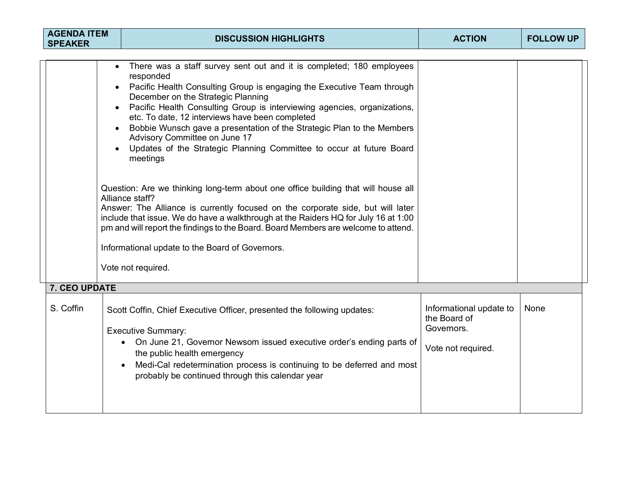| <b>AGENDA ITEM</b><br><b>SPEAKER</b> |                        | <b>DISCUSSION HIGHLIGHTS</b>                                                                                                                                                                                                                                                                                                                                                                                                                                                                                                                                                                                                                                                                                                                                                                                                                                                                                                                                                    | <b>ACTION</b>                                                               | <b>FOLLOW UP</b> |
|--------------------------------------|------------------------|---------------------------------------------------------------------------------------------------------------------------------------------------------------------------------------------------------------------------------------------------------------------------------------------------------------------------------------------------------------------------------------------------------------------------------------------------------------------------------------------------------------------------------------------------------------------------------------------------------------------------------------------------------------------------------------------------------------------------------------------------------------------------------------------------------------------------------------------------------------------------------------------------------------------------------------------------------------------------------|-----------------------------------------------------------------------------|------------------|
|                                      | $\bullet$<br>$\bullet$ | There was a staff survey sent out and it is completed; 180 employees<br>responded<br>Pacific Health Consulting Group is engaging the Executive Team through<br>December on the Strategic Planning<br>Pacific Health Consulting Group is interviewing agencies, organizations,<br>etc. To date, 12 interviews have been completed<br>Bobbie Wunsch gave a presentation of the Strategic Plan to the Members<br>Advisory Committee on June 17<br>Updates of the Strategic Planning Committee to occur at future Board<br>meetings<br>Question: Are we thinking long-term about one office building that will house all<br>Alliance staff?<br>Answer: The Alliance is currently focused on the corporate side, but will later<br>include that issue. We do have a walkthrough at the Raiders HQ for July 16 at 1:00<br>pm and will report the findings to the Board. Board Members are welcome to attend.<br>Informational update to the Board of Governors.<br>Vote not required. |                                                                             |                  |
| 7. CEO UPDATE                        |                        |                                                                                                                                                                                                                                                                                                                                                                                                                                                                                                                                                                                                                                                                                                                                                                                                                                                                                                                                                                                 |                                                                             |                  |
| S. Coffin                            |                        | Scott Coffin, Chief Executive Officer, presented the following updates:<br><b>Executive Summary:</b><br>On June 21, Governor Newsom issued executive order's ending parts of<br>$\bullet$<br>the public health emergency<br>Medi-Cal redetermination process is continuing to be deferred and most<br>probably be continued through this calendar year                                                                                                                                                                                                                                                                                                                                                                                                                                                                                                                                                                                                                          | Informational update to<br>the Board of<br>Governors.<br>Vote not required. | None             |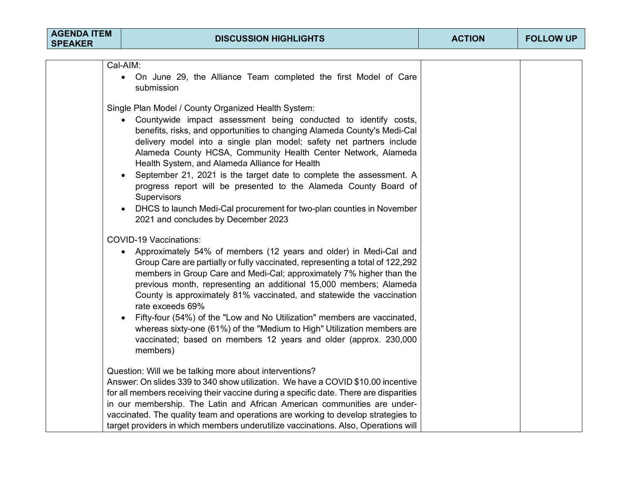| Cal-AIM:<br>On June 29, the Alliance Team completed the first Model of Care<br>$\bullet$<br>submission                                                                                                                                                                                                                                                                                                                                                                                                                                                                                                                                                                               |  |
|--------------------------------------------------------------------------------------------------------------------------------------------------------------------------------------------------------------------------------------------------------------------------------------------------------------------------------------------------------------------------------------------------------------------------------------------------------------------------------------------------------------------------------------------------------------------------------------------------------------------------------------------------------------------------------------|--|
| Single Plan Model / County Organized Health System:<br>Countywide impact assessment being conducted to identify costs,<br>benefits, risks, and opportunities to changing Alameda County's Medi-Cal<br>delivery model into a single plan model; safety net partners include<br>Alameda County HCSA, Community Health Center Network, Alameda<br>Health System, and Alameda Alliance for Health<br>September 21, 2021 is the target date to complete the assessment. A<br>progress report will be presented to the Alameda County Board of<br>Supervisors<br>DHCS to launch Medi-Cal procurement for two-plan counties in November<br>$\bullet$<br>2021 and concludes by December 2023 |  |
| <b>COVID-19 Vaccinations:</b><br>Approximately 54% of members (12 years and older) in Medi-Cal and<br>Group Care are partially or fully vaccinated, representing a total of 122,292<br>members in Group Care and Medi-Cal; approximately 7% higher than the<br>previous month, representing an additional 15,000 members; Alameda<br>County is approximately 81% vaccinated, and statewide the vaccination<br>rate exceeds 69%<br>Fifty-four (54%) of the "Low and No Utilization" members are vaccinated,<br>whereas sixty-one (61%) of the "Medium to High" Utilization members are<br>vaccinated; based on members 12 years and older (approx. 230,000<br>members)                |  |
| Question: Will we be talking more about interventions?<br>Answer: On slides 339 to 340 show utilization. We have a COVID \$10.00 incentive<br>for all members receiving their vaccine during a specific date. There are disparities<br>in our membership. The Latin and African American communities are under-<br>vaccinated. The quality team and operations are working to develop strategies to<br>target providers in which members underutilize vaccinations. Also, Operations will                                                                                                                                                                                            |  |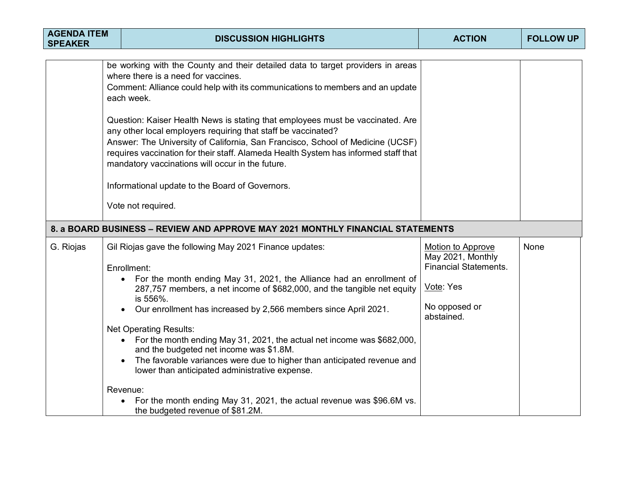| <b>AGENDA ITEM</b><br><b>SPEAKER</b> | <b>DISCUSSION HIGHLIGHTS</b>                                                                                                                                                                                                                                                                                                                                                                                                                                                                                                                                                                                                                                                                                                                      | <b>ACTION</b>                                                                                                             | <b>FOLLOW UP</b> |
|--------------------------------------|---------------------------------------------------------------------------------------------------------------------------------------------------------------------------------------------------------------------------------------------------------------------------------------------------------------------------------------------------------------------------------------------------------------------------------------------------------------------------------------------------------------------------------------------------------------------------------------------------------------------------------------------------------------------------------------------------------------------------------------------------|---------------------------------------------------------------------------------------------------------------------------|------------------|
|                                      | be working with the County and their detailed data to target providers in areas<br>where there is a need for vaccines.<br>Comment: Alliance could help with its communications to members and an update<br>each week.<br>Question: Kaiser Health News is stating that employees must be vaccinated. Are<br>any other local employers requiring that staff be vaccinated?<br>Answer: The University of California, San Francisco, School of Medicine (UCSF)<br>requires vaccination for their staff. Alameda Health System has informed staff that<br>mandatory vaccinations will occur in the future.<br>Informational update to the Board of Governors.<br>Vote not required.                                                                    |                                                                                                                           |                  |
|                                      | 8. a BOARD BUSINESS – REVIEW AND APPROVE MAY 2021 MONTHLY FINANCIAL STATEMENTS                                                                                                                                                                                                                                                                                                                                                                                                                                                                                                                                                                                                                                                                    |                                                                                                                           |                  |
| G. Riojas                            | Gil Riojas gave the following May 2021 Finance updates:<br>Enrollment:<br>For the month ending May 31, 2021, the Alliance had an enrollment of<br>$\bullet$<br>287,757 members, a net income of \$682,000, and the tangible net equity<br>is 556%.<br>Our enrollment has increased by 2,566 members since April 2021.<br><b>Net Operating Results:</b><br>• For the month ending May 31, 2021, the actual net income was \$682,000,<br>and the budgeted net income was \$1.8M.<br>The favorable variances were due to higher than anticipated revenue and<br>lower than anticipated administrative expense.<br>Revenue:<br>For the month ending May 31, 2021, the actual revenue was \$96.6M vs.<br>$\bullet$<br>the budgeted revenue of \$81.2M. | <b>Motion to Approve</b><br>May 2021, Monthly<br><b>Financial Statements.</b><br>Vote: Yes<br>No opposed or<br>abstained. | None             |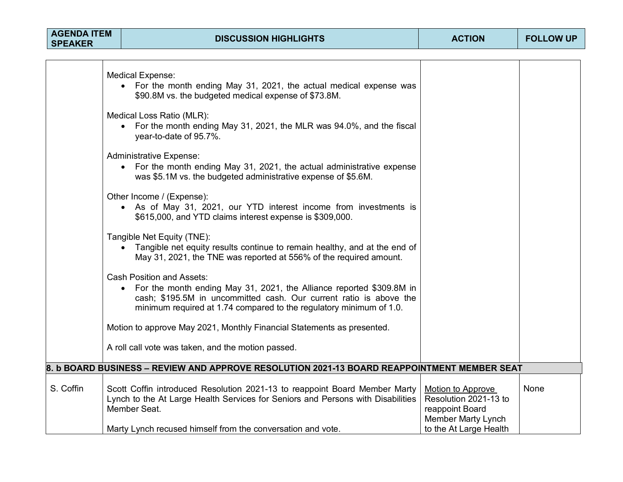| <b>AGENDA ITEM</b><br><b>SPEAKER</b> | <b>DISCUSSION HIGHLIGHTS</b>                                                                                                                                                                                                                                       | <b>ACTION</b>                                                                              | <b>FOLLOW UP</b> |
|--------------------------------------|--------------------------------------------------------------------------------------------------------------------------------------------------------------------------------------------------------------------------------------------------------------------|--------------------------------------------------------------------------------------------|------------------|
|                                      |                                                                                                                                                                                                                                                                    |                                                                                            |                  |
|                                      | <b>Medical Expense:</b><br>• For the month ending May 31, 2021, the actual medical expense was<br>\$90.8M vs. the budgeted medical expense of \$73.8M.                                                                                                             |                                                                                            |                  |
|                                      | Medical Loss Ratio (MLR):<br>• For the month ending May 31, 2021, the MLR was 94.0%, and the fiscal<br>year-to-date of 95.7%.                                                                                                                                      |                                                                                            |                  |
|                                      | <b>Administrative Expense:</b><br>• For the month ending May 31, 2021, the actual administrative expense<br>was \$5.1M vs. the budgeted administrative expense of \$5.6M.                                                                                          |                                                                                            |                  |
|                                      | Other Income / (Expense):<br>• As of May 31, 2021, our YTD interest income from investments is<br>\$615,000, and YTD claims interest expense is \$309,000.                                                                                                         |                                                                                            |                  |
|                                      | Tangible Net Equity (TNE):<br>• Tangible net equity results continue to remain healthy, and at the end of<br>May 31, 2021, the TNE was reported at 556% of the required amount.                                                                                    |                                                                                            |                  |
|                                      | <b>Cash Position and Assets:</b><br>For the month ending May 31, 2021, the Alliance reported \$309.8M in<br>$\bullet$<br>cash; \$195.5M in uncommitted cash. Our current ratio is above the<br>minimum required at 1.74 compared to the regulatory minimum of 1.0. |                                                                                            |                  |
|                                      | Motion to approve May 2021, Monthly Financial Statements as presented.                                                                                                                                                                                             |                                                                                            |                  |
|                                      | A roll call vote was taken, and the motion passed.                                                                                                                                                                                                                 |                                                                                            |                  |
|                                      | 8. b BOARD BUSINESS – REVIEW AND APPROVE RESOLUTION 2021-13 BOARD REAPPOINTMENT MEMBER SEAT                                                                                                                                                                        |                                                                                            |                  |
| S. Coffin                            | Scott Coffin introduced Resolution 2021-13 to reappoint Board Member Marty<br>Lynch to the At Large Health Services for Seniors and Persons with Disabilities<br>Member Seat.                                                                                      | Motion to Approve<br>Resolution 2021-13 to<br>reappoint Board<br><b>Member Marty Lynch</b> | None             |
|                                      | Marty Lynch recused himself from the conversation and vote.                                                                                                                                                                                                        | to the At Large Health                                                                     |                  |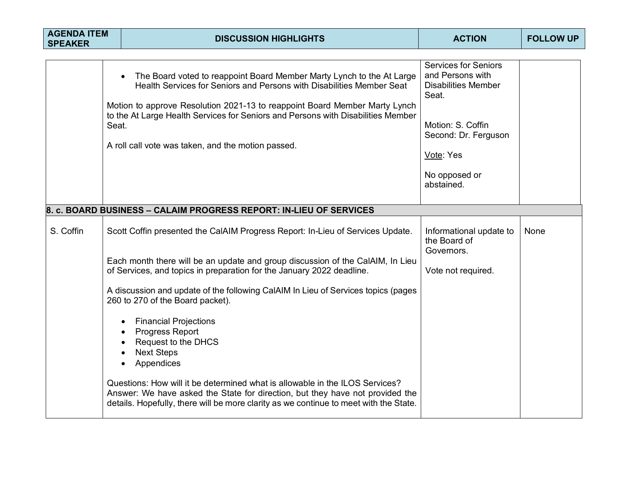| <b>AGENDA ITEM</b><br><b>SPEAKER</b> |       | <b>DISCUSSION HIGHLIGHTS</b>                                                                                                                                                                                                                                                                                                                                           | <b>ACTION</b>                                                                                                                                                                   | <b>FOLLOW UP</b> |
|--------------------------------------|-------|------------------------------------------------------------------------------------------------------------------------------------------------------------------------------------------------------------------------------------------------------------------------------------------------------------------------------------------------------------------------|---------------------------------------------------------------------------------------------------------------------------------------------------------------------------------|------------------|
|                                      | Seat. | The Board voted to reappoint Board Member Marty Lynch to the At Large<br>Health Services for Seniors and Persons with Disabilities Member Seat<br>Motion to approve Resolution 2021-13 to reappoint Board Member Marty Lynch<br>to the At Large Health Services for Seniors and Persons with Disabilities Member<br>A roll call vote was taken, and the motion passed. | <b>Services for Seniors</b><br>and Persons with<br><b>Disabilities Member</b><br>Seat.<br>Motion: S. Coffin<br>Second: Dr. Ferguson<br>Vote: Yes<br>No opposed or<br>abstained. |                  |
|                                      |       | 8. c. BOARD BUSINESS - CALAIM PROGRESS REPORT: IN-LIEU OF SERVICES                                                                                                                                                                                                                                                                                                     |                                                                                                                                                                                 |                  |
| S. Coffin                            |       | Scott Coffin presented the CalAIM Progress Report: In-Lieu of Services Update.<br>Each month there will be an update and group discussion of the CalAIM, In Lieu                                                                                                                                                                                                       | Informational update to<br>the Board of<br>Governors.                                                                                                                           | None             |
|                                      |       | of Services, and topics in preparation for the January 2022 deadline.                                                                                                                                                                                                                                                                                                  | Vote not required.                                                                                                                                                              |                  |
|                                      |       | A discussion and update of the following CalAIM In Lieu of Services topics (pages<br>260 to 270 of the Board packet).                                                                                                                                                                                                                                                  |                                                                                                                                                                                 |                  |
|                                      |       | <b>Financial Projections</b><br>Progress Report<br>Request to the DHCS<br><b>Next Steps</b><br>Appendices                                                                                                                                                                                                                                                              |                                                                                                                                                                                 |                  |
|                                      |       | Questions: How will it be determined what is allowable in the ILOS Services?<br>Answer: We have asked the State for direction, but they have not provided the<br>details. Hopefully, there will be more clarity as we continue to meet with the State.                                                                                                                 |                                                                                                                                                                                 |                  |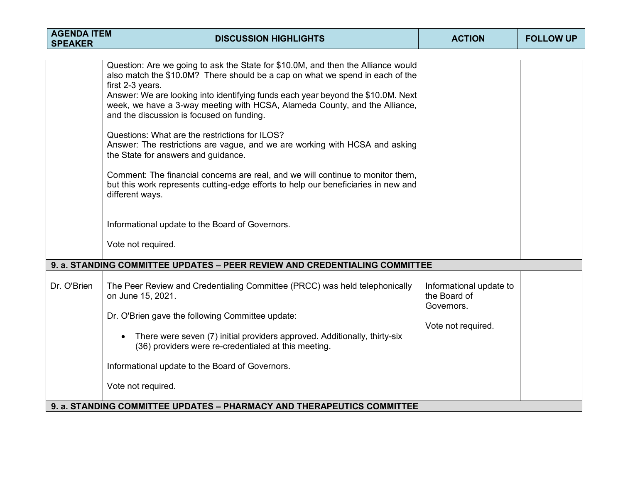| <b>AGENDA ITEM</b><br><b>SPEAKER</b> |  | <b>DISCUSSION HIGHLIGHTS</b>                                                                                                                                                                                                                                                                                                                                                                                                                                                                                                                                                                                                                                                                                                                                                                                                                                                                                                    | <b>ACTION</b>                                                               | <b>FOLLOW UP</b> |
|--------------------------------------|--|---------------------------------------------------------------------------------------------------------------------------------------------------------------------------------------------------------------------------------------------------------------------------------------------------------------------------------------------------------------------------------------------------------------------------------------------------------------------------------------------------------------------------------------------------------------------------------------------------------------------------------------------------------------------------------------------------------------------------------------------------------------------------------------------------------------------------------------------------------------------------------------------------------------------------------|-----------------------------------------------------------------------------|------------------|
|                                      |  | Question: Are we going to ask the State for \$10.0M, and then the Alliance would<br>also match the \$10.0M? There should be a cap on what we spend in each of the<br>first 2-3 years.<br>Answer: We are looking into identifying funds each year beyond the \$10.0M. Next<br>week, we have a 3-way meeting with HCSA, Alameda County, and the Alliance,<br>and the discussion is focused on funding.<br>Questions: What are the restrictions for ILOS?<br>Answer: The restrictions are vague, and we are working with HCSA and asking<br>the State for answers and guidance.<br>Comment: The financial concerns are real, and we will continue to monitor them,<br>but this work represents cutting-edge efforts to help our beneficiaries in new and<br>different ways.<br>Informational update to the Board of Governors.<br>Vote not required.<br>9. a. STANDING COMMITTEE UPDATES - PEER REVIEW AND CREDENTIALING COMMITTEE |                                                                             |                  |
| Dr. O'Brien                          |  | The Peer Review and Credentialing Committee (PRCC) was held telephonically<br>on June 15, 2021.<br>Dr. O'Brien gave the following Committee update:<br>There were seven (7) initial providers approved. Additionally, thirty-six<br>(36) providers were re-credentialed at this meeting.<br>Informational update to the Board of Governors.<br>Vote not required.<br>9. a. STANDING COMMITTEE UPDATES - PHARMACY AND THERAPEUTICS COMMITTEE                                                                                                                                                                                                                                                                                                                                                                                                                                                                                     | Informational update to<br>the Board of<br>Governors.<br>Vote not required. |                  |
|                                      |  |                                                                                                                                                                                                                                                                                                                                                                                                                                                                                                                                                                                                                                                                                                                                                                                                                                                                                                                                 |                                                                             |                  |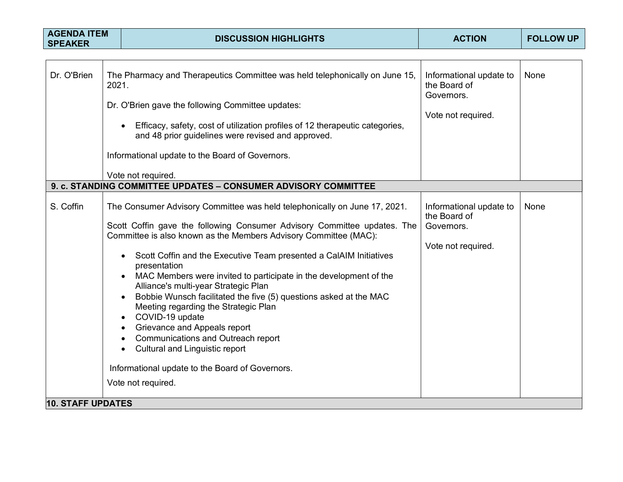| <b>AGENDA ITEM</b><br><b>SPEAKER</b> |       | <b>DISCUSSION HIGHLIGHTS</b>                                                                                                                                                                                                                                                                                                                                                                                                                                                                                                                                                                                                                                                                                                                                      | <b>ACTION</b>                                                               | <b>FOLLOW UP</b> |
|--------------------------------------|-------|-------------------------------------------------------------------------------------------------------------------------------------------------------------------------------------------------------------------------------------------------------------------------------------------------------------------------------------------------------------------------------------------------------------------------------------------------------------------------------------------------------------------------------------------------------------------------------------------------------------------------------------------------------------------------------------------------------------------------------------------------------------------|-----------------------------------------------------------------------------|------------------|
|                                      |       |                                                                                                                                                                                                                                                                                                                                                                                                                                                                                                                                                                                                                                                                                                                                                                   |                                                                             |                  |
| Dr. O'Brien                          | 2021. | The Pharmacy and Therapeutics Committee was held telephonically on June 15,<br>Dr. O'Brien gave the following Committee updates:<br>Efficacy, safety, cost of utilization profiles of 12 therapeutic categories,<br>and 48 prior guidelines were revised and approved.<br>Informational update to the Board of Governors.                                                                                                                                                                                                                                                                                                                                                                                                                                         | Informational update to<br>the Board of<br>Governors.<br>Vote not required. | None             |
|                                      |       | Vote not required.                                                                                                                                                                                                                                                                                                                                                                                                                                                                                                                                                                                                                                                                                                                                                |                                                                             |                  |
|                                      |       | 9. c. STANDING COMMITTEE UPDATES - CONSUMER ADVISORY COMMITTEE                                                                                                                                                                                                                                                                                                                                                                                                                                                                                                                                                                                                                                                                                                    |                                                                             |                  |
| S. Coffin                            |       | The Consumer Advisory Committee was held telephonically on June 17, 2021.<br>Scott Coffin gave the following Consumer Advisory Committee updates. The<br>Committee is also known as the Members Advisory Committee (MAC):<br>Scott Coffin and the Executive Team presented a CalAIM Initiatives<br>presentation<br>MAC Members were invited to participate in the development of the<br>Alliance's multi-year Strategic Plan<br>Bobbie Wunsch facilitated the five (5) questions asked at the MAC<br>Meeting regarding the Strategic Plan<br>COVID-19 update<br>Grievance and Appeals report<br>Communications and Outreach report<br><b>Cultural and Linguistic report</b><br>$\bullet$<br>Informational update to the Board of Governors.<br>Vote not required. | Informational update to<br>the Board of<br>Governors.<br>Vote not required. | None             |
| <b>10. STAFF UPDATES</b>             |       |                                                                                                                                                                                                                                                                                                                                                                                                                                                                                                                                                                                                                                                                                                                                                                   |                                                                             |                  |